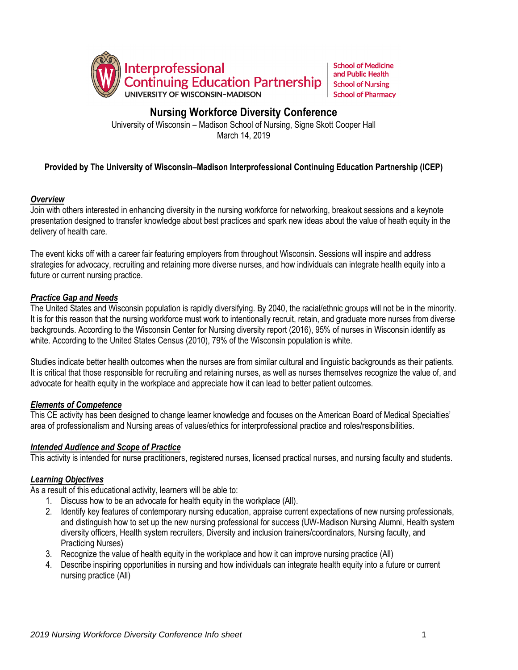

**School of Medicine** and Public Health **School of Nursing School of Pharmacy** 

# **Nursing Workforce Diversity Conference**

University of Wisconsin – Madison School of Nursing, Signe Skott Cooper Hall March 14, 2019

# **Provided by The University of Wisconsin–Madison Interprofessional Continuing Education Partnership (ICEP)**

## *Overview*

Join with others interested in enhancing diversity in the nursing workforce for networking, breakout sessions and a keynote presentation designed to transfer knowledge about best practices and spark new ideas about the value of heath equity in the delivery of health care.

The event kicks off with a career fair featuring employers from throughout Wisconsin. Sessions will inspire and address strategies for advocacy, recruiting and retaining more diverse nurses, and how individuals can integrate health equity into a future or current nursing practice.

# *Practice Gap and Needs*

The United States and Wisconsin population is rapidly diversifying. By 2040, the racial/ethnic groups will not be in the minority. It is for this reason that the nursing workforce must work to intentionally recruit, retain, and graduate more nurses from diverse backgrounds. According to the Wisconsin Center for Nursing diversity report (2016), 95% of nurses in Wisconsin identify as white. According to the United States Census (2010), 79% of the Wisconsin population is white.

Studies indicate better health outcomes when the nurses are from similar cultural and linguistic backgrounds as their patients. It is critical that those responsible for recruiting and retaining nurses, as well as nurses themselves recognize the value of, and advocate for health equity in the workplace and appreciate how it can lead to better patient outcomes.

## *Elements of Competence*

This CE activity has been designed to change learner knowledge and focuses on the American Board of Medical Specialties' area of professionalism and Nursing areas of values/ethics for interprofessional practice and roles/responsibilities.

#### *Intended Audience and Scope of Practice*

This activity is intended for nurse practitioners, registered nurses, licensed practical nurses, and nursing faculty and students.

#### *Learning Objectives*

As a result of this educational activity, learners will be able to:

- 1. Discuss how to be an advocate for health equity in the workplace (All).
- 2. Identify key features of contemporary nursing education, appraise current expectations of new nursing professionals, and distinguish how to set up the new nursing professional for success (UW-Madison Nursing Alumni, Health system diversity officers, Health system recruiters, Diversity and inclusion trainers/coordinators, Nursing faculty, and Practicing Nurses)
- 3. Recognize the value of health equity in the workplace and how it can improve nursing practice (All)
- 4. Describe inspiring opportunities in nursing and how individuals can integrate health equity into a future or current nursing practice (All)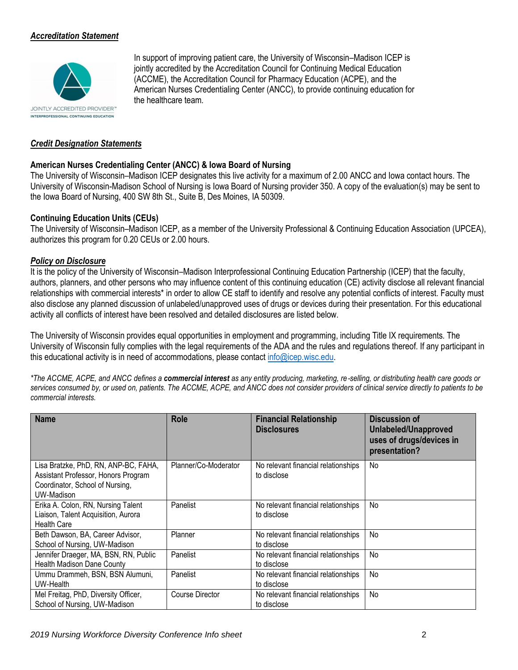# *Accreditation Statement*



In support of improving patient care, the University of Wisconsin–Madison ICEP is jointly accredited by the Accreditation Council for Continuing Medical Education (ACCME), the Accreditation Council for Pharmacy Education (ACPE), and the American Nurses Credentialing Center (ANCC), to provide continuing education for the healthcare team.

### *Credit Designation Statements*

### **American Nurses Credentialing Center (ANCC) & Iowa Board of Nursing**

The University of Wisconsin–Madison ICEP designates this live activity for a maximum of 2.00 ANCC and Iowa contact hours. The University of Wisconsin-Madison School of Nursing is Iowa Board of Nursing provider 350. A copy of the evaluation(s) may be sent to the Iowa Board of Nursing, 400 SW 8th St., Suite B, Des Moines, IA 50309.

### **Continuing Education Units (CEUs)**

The University of Wisconsin–Madison ICEP, as a member of the University Professional & Continuing Education Association (UPCEA), authorizes this program for 0.20 CEUs or 2.00 hours.

### *Policy on Disclosure*

It is the policy of the University of Wisconsin–Madison Interprofessional Continuing Education Partnership (ICEP) that the faculty, authors, planners, and other persons who may influence content of this continuing education (CE) activity disclose all relevant financial relationships with commercial interests\* in order to allow CE staff to identify and resolve any potential conflicts of interest. Faculty must also disclose any planned discussion of unlabeled/unapproved uses of drugs or devices during their presentation. For this educational activity all conflicts of interest have been resolved and detailed disclosures are listed below.

The University of Wisconsin provides equal opportunities in employment and programming, including Title IX requirements. The University of Wisconsin fully complies with the legal requirements of the ADA and the rules and regulations thereof. If any participant in this educational activity is in need of accommodations, please contact [info@icep.wisc.edu.](mailto:info@icep.wisc.edu)

*\*The ACCME, ACPE, and ANCC defines a commercial interest as any entity producing, marketing, re*‐*selling, or distributing health care goods or services consumed by, or used on, patients. The ACCME, ACPE, and ANCC does not consider providers of clinical service directly to patients to be commercial interests.*

| <b>Name</b>                                                                                                                  | <b>Role</b>          | <b>Financial Relationship</b><br><b>Disclosures</b> | Discussion of<br>Unlabeled/Unapproved<br>uses of drugs/devices in<br>presentation? |
|------------------------------------------------------------------------------------------------------------------------------|----------------------|-----------------------------------------------------|------------------------------------------------------------------------------------|
| Lisa Bratzke, PhD, RN, ANP-BC, FAHA,<br>Assistant Professor, Honors Program<br>Coordinator, School of Nursing,<br>UW-Madison | Planner/Co-Moderator | No relevant financial relationships<br>to disclose  | No                                                                                 |
| Erika A. Colon, RN, Nursing Talent<br>Liaison, Talent Acquisition, Aurora<br><b>Health Care</b>                              | Panelist             | No relevant financial relationships<br>to disclose  | No                                                                                 |
| Beth Dawson, BA, Career Advisor,<br>School of Nursing, UW-Madison                                                            | Planner              | No relevant financial relationships<br>to disclose  | No                                                                                 |
| Jennifer Draeger, MA, BSN, RN, Public<br><b>Health Madison Dane County</b>                                                   | Panelist             | No relevant financial relationships<br>to disclose  | No                                                                                 |
| Ummu Drammeh, BSN, BSN Alumuni,<br>UW-Health                                                                                 | Panelist             | No relevant financial relationships<br>to disclose  | No                                                                                 |
| Mel Freitag, PhD, Diversity Officer,<br>School of Nursing, UW-Madison                                                        | Course Director      | No relevant financial relationships<br>to disclose  | No                                                                                 |